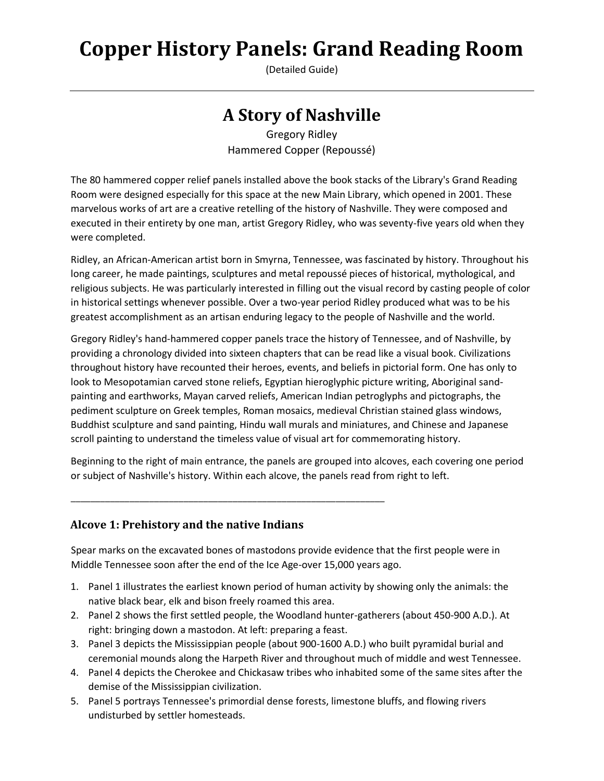(Detailed Guide)

# **A Story of Nashville**

Gregory Ridley Hammered Copper (Repoussé)

The 80 hammered copper relief panels installed above the book stacks of the Library's Grand Reading Room were designed especially for this space at the new Main Library, which opened in 2001. These marvelous works of art are a creative retelling of the history of Nashville. They were composed and executed in their entirety by one man, artist Gregory Ridley, who was seventy-five years old when they were completed.

Ridley, an African-American artist born in Smyrna, Tennessee, was fascinated by history. Throughout his long career, he made paintings, sculptures and metal repoussé pieces of historical, mythological, and religious subjects. He was particularly interested in filling out the visual record by casting people of color in historical settings whenever possible. Over a two-year period Ridley produced what was to be his greatest accomplishment as an artisan enduring legacy to the people of Nashville and the world.

Gregory Ridley's hand-hammered copper panels trace the history of Tennessee, and of Nashville, by providing a chronology divided into sixteen chapters that can be read like a visual book. Civilizations throughout history have recounted their heroes, events, and beliefs in pictorial form. One has only to look to Mesopotamian carved stone reliefs, Egyptian hieroglyphic picture writing, Aboriginal sandpainting and earthworks, Mayan carved reliefs, American Indian petroglyphs and pictographs, the pediment sculpture on Greek temples, Roman mosaics, medieval Christian stained glass windows, Buddhist sculpture and sand painting, Hindu wall murals and miniatures, and Chinese and Japanese scroll painting to understand the timeless value of visual art for commemorating history.

Beginning to the right of main entrance, the panels are grouped into alcoves, each covering one period or subject of Nashville's history. Within each alcove, the panels read from right to left.

#### **Alcove 1: Prehistory and the native Indians**

\_\_\_\_\_\_\_\_\_\_\_\_\_\_\_\_\_\_\_\_\_\_\_\_\_\_\_\_\_\_\_\_\_\_\_\_\_\_\_\_\_\_\_\_\_\_\_\_\_\_\_\_\_\_\_\_\_\_\_\_\_\_\_\_

Spear marks on the excavated bones of mastodons provide evidence that the first people were in Middle Tennessee soon after the end of the Ice Age-over 15,000 years ago.

- 1. Panel 1 illustrates the earliest known period of human activity by showing only the animals: the native black bear, elk and bison freely roamed this area.
- 2. Panel 2 shows the first settled people, the Woodland hunter-gatherers (about 450-900 A.D.). At right: bringing down a mastodon. At left: preparing a feast.
- 3. Panel 3 depicts the Mississippian people (about 900-1600 A.D.) who built pyramidal burial and ceremonial mounds along the Harpeth River and throughout much of middle and west Tennessee.
- 4. Panel 4 depicts the Cherokee and Chickasaw tribes who inhabited some of the same sites after the demise of the Mississippian civilization.
- 5. Panel 5 portrays Tennessee's primordial dense forests, limestone bluffs, and flowing rivers undisturbed by settler homesteads.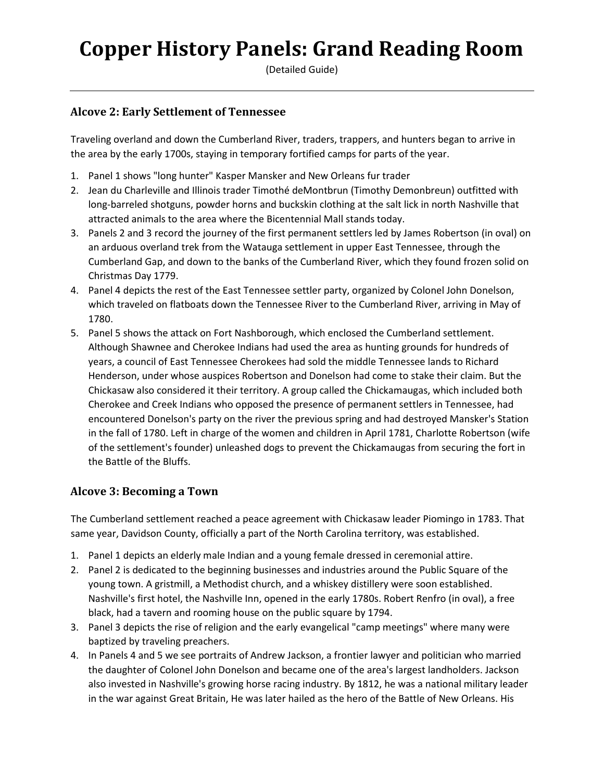(Detailed Guide)

#### **Alcove 2: Early Settlement of Tennessee**

Traveling overland and down the Cumberland River, traders, trappers, and hunters began to arrive in the area by the early 1700s, staying in temporary fortified camps for parts of the year.

- 1. Panel 1 shows "long hunter" Kasper Mansker and New Orleans fur trader
- 2. Jean du Charleville and Illinois trader Timothé deMontbrun (Timothy Demonbreun) outfitted with long-barreled shotguns, powder horns and buckskin clothing at the salt lick in north Nashville that attracted animals to the area where the Bicentennial Mall stands today.
- 3. Panels 2 and 3 record the journey of the first permanent settlers led by James Robertson (in oval) on an arduous overland trek from the Watauga settlement in upper East Tennessee, through the Cumberland Gap, and down to the banks of the Cumberland River, which they found frozen solid on Christmas Day 1779.
- 4. Panel 4 depicts the rest of the East Tennessee settler party, organized by Colonel John Donelson, which traveled on flatboats down the Tennessee River to the Cumberland River, arriving in May of 1780.
- 5. Panel 5 shows the attack on Fort Nashborough, which enclosed the Cumberland settlement. Although Shawnee and Cherokee Indians had used the area as hunting grounds for hundreds of years, a council of East Tennessee Cherokees had sold the middle Tennessee lands to Richard Henderson, under whose auspices Robertson and Donelson had come to stake their claim. But the Chickasaw also considered it their territory. A group called the Chickamaugas, which included both Cherokee and Creek Indians who opposed the presence of permanent settlers in Tennessee, had encountered Donelson's party on the river the previous spring and had destroyed Mansker's Station in the fall of 1780. Left in charge of the women and children in April 1781, Charlotte Robertson (wife of the settlement's founder) unleashed dogs to prevent the Chickamaugas from securing the fort in the Battle of the Bluffs.

### **Alcove 3: Becoming a Town**

The Cumberland settlement reached a peace agreement with Chickasaw leader Piomingo in 1783. That same year, Davidson County, officially a part of the North Carolina territory, was established.

- 1. Panel 1 depicts an elderly male Indian and a young female dressed in ceremonial attire.
- 2. Panel 2 is dedicated to the beginning businesses and industries around the Public Square of the young town. A gristmill, a Methodist church, and a whiskey distillery were soon established. Nashville's first hotel, the Nashville Inn, opened in the early 1780s. Robert Renfro (in oval), a free black, had a tavern and rooming house on the public square by 1794.
- 3. Panel 3 depicts the rise of religion and the early evangelical "camp meetings" where many were baptized by traveling preachers.
- 4. In Panels 4 and 5 we see portraits of Andrew Jackson, a frontier lawyer and politician who married the daughter of Colonel John Donelson and became one of the area's largest landholders. Jackson also invested in Nashville's growing horse racing industry. By 1812, he was a national military leader in the war against Great Britain, He was later hailed as the hero of the Battle of New Orleans. His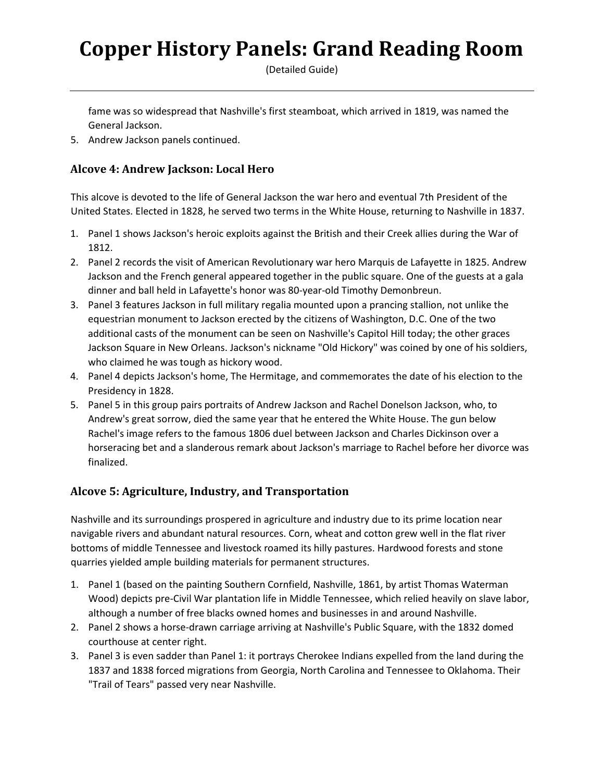(Detailed Guide)

fame was so widespread that Nashville's first steamboat, which arrived in 1819, was named the General Jackson.

5. Andrew Jackson panels continued.

#### **Alcove 4: Andrew Jackson: Local Hero**

This alcove is devoted to the life of General Jackson the war hero and eventual 7th President of the United States. Elected in 1828, he served two terms in the White House, returning to Nashville in 1837.

- 1. Panel 1 shows Jackson's heroic exploits against the British and their Creek allies during the War of 1812.
- 2. Panel 2 records the visit of American Revolutionary war hero Marquis de Lafayette in 1825. Andrew Jackson and the French general appeared together in the public square. One of the guests at a gala dinner and ball held in Lafayette's honor was 80-year-old Timothy Demonbreun.
- 3. Panel 3 features Jackson in full military regalia mounted upon a prancing stallion, not unlike the equestrian monument to Jackson erected by the citizens of Washington, D.C. One of the two additional casts of the monument can be seen on Nashville's Capitol Hill today; the other graces Jackson Square in New Orleans. Jackson's nickname "Old Hickory" was coined by one of his soldiers, who claimed he was tough as hickory wood.
- 4. Panel 4 depicts Jackson's home, The Hermitage, and commemorates the date of his election to the Presidency in 1828.
- 5. Panel 5 in this group pairs portraits of Andrew Jackson and Rachel Donelson Jackson, who, to Andrew's great sorrow, died the same year that he entered the White House. The gun below Rachel's image refers to the famous 1806 duel between Jackson and Charles Dickinson over a horseracing bet and a slanderous remark about Jackson's marriage to Rachel before her divorce was finalized.

### **Alcove 5: Agriculture, Industry, and Transportation**

Nashville and its surroundings prospered in agriculture and industry due to its prime location near navigable rivers and abundant natural resources. Corn, wheat and cotton grew well in the flat river bottoms of middle Tennessee and livestock roamed its hilly pastures. Hardwood forests and stone quarries yielded ample building materials for permanent structures.

- 1. Panel 1 (based on the painting Southern Cornfield, Nashville, 1861, by artist Thomas Waterman Wood) depicts pre-Civil War plantation life in Middle Tennessee, which relied heavily on slave labor, although a number of free blacks owned homes and businesses in and around Nashville.
- 2. Panel 2 shows a horse-drawn carriage arriving at Nashville's Public Square, with the 1832 domed courthouse at center right.
- 3. Panel 3 is even sadder than Panel 1: it portrays Cherokee Indians expelled from the land during the 1837 and 1838 forced migrations from Georgia, North Carolina and Tennessee to Oklahoma. Their "Trail of Tears" passed very near Nashville.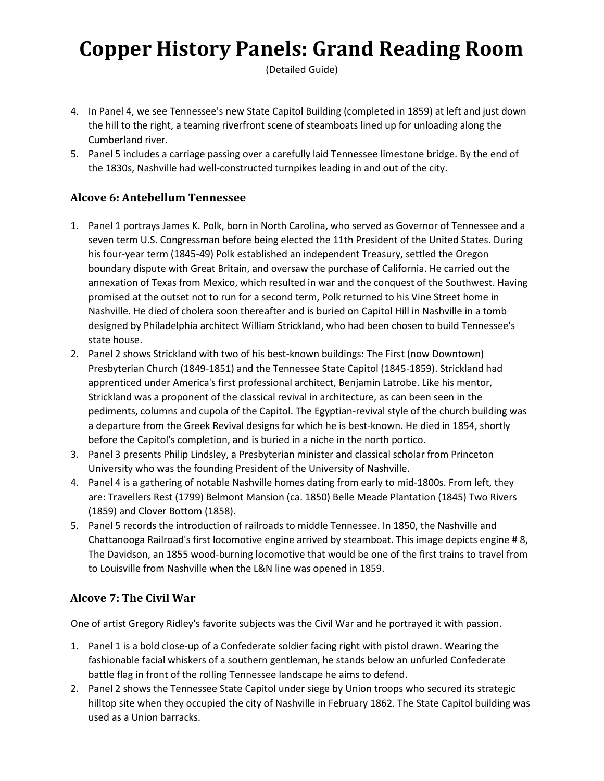(Detailed Guide)

- 4. In Panel 4, we see Tennessee's new State Capitol Building (completed in 1859) at left and just down the hill to the right, a teaming riverfront scene of steamboats lined up for unloading along the Cumberland river.
- 5. Panel 5 includes a carriage passing over a carefully laid Tennessee limestone bridge. By the end of the 1830s, Nashville had well-constructed turnpikes leading in and out of the city.

### **Alcove 6: Antebellum Tennessee**

- 1. Panel 1 portrays James K. Polk, born in North Carolina, who served as Governor of Tennessee and a seven term U.S. Congressman before being elected the 11th President of the United States. During his four-year term (1845-49) Polk established an independent Treasury, settled the Oregon boundary dispute with Great Britain, and oversaw the purchase of California. He carried out the annexation of Texas from Mexico, which resulted in war and the conquest of the Southwest. Having promised at the outset not to run for a second term, Polk returned to his Vine Street home in Nashville. He died of cholera soon thereafter and is buried on Capitol Hill in Nashville in a tomb designed by Philadelphia architect William Strickland, who had been chosen to build Tennessee's state house.
- 2. Panel 2 shows Strickland with two of his best-known buildings: The First (now Downtown) Presbyterian Church (1849-1851) and the Tennessee State Capitol (1845-1859). Strickland had apprenticed under America's first professional architect, Benjamin Latrobe. Like his mentor, Strickland was a proponent of the classical revival in architecture, as can been seen in the pediments, columns and cupola of the Capitol. The Egyptian-revival style of the church building was a departure from the Greek Revival designs for which he is best-known. He died in 1854, shortly before the Capitol's completion, and is buried in a niche in the north portico.
- 3. Panel 3 presents Philip Lindsley, a Presbyterian minister and classical scholar from Princeton University who was the founding President of the University of Nashville.
- 4. Panel 4 is a gathering of notable Nashville homes dating from early to mid-1800s. From left, they are: Travellers Rest (1799) Belmont Mansion (ca. 1850) Belle Meade Plantation (1845) Two Rivers (1859) and Clover Bottom (1858).
- 5. Panel 5 records the introduction of railroads to middle Tennessee. In 1850, the Nashville and Chattanooga Railroad's first locomotive engine arrived by steamboat. This image depicts engine # 8, The Davidson, an 1855 wood-burning locomotive that would be one of the first trains to travel from to Louisville from Nashville when the L&N line was opened in 1859.

### **Alcove 7: The Civil War**

One of artist Gregory Ridley's favorite subjects was the Civil War and he portrayed it with passion.

- 1. Panel 1 is a bold close-up of a Confederate soldier facing right with pistol drawn. Wearing the fashionable facial whiskers of a southern gentleman, he stands below an unfurled Confederate battle flag in front of the rolling Tennessee landscape he aims to defend.
- 2. Panel 2 shows the Tennessee State Capitol under siege by Union troops who secured its strategic hilltop site when they occupied the city of Nashville in February 1862. The State Capitol building was used as a Union barracks.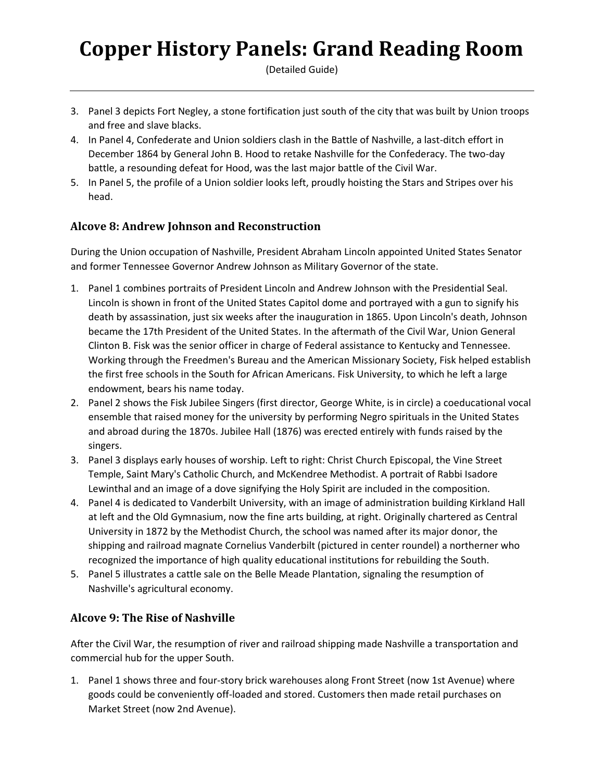(Detailed Guide)

- 3. Panel 3 depicts Fort Negley, a stone fortification just south of the city that was built by Union troops and free and slave blacks.
- 4. In Panel 4, Confederate and Union soldiers clash in the Battle of Nashville, a last-ditch effort in December 1864 by General John B. Hood to retake Nashville for the Confederacy. The two-day battle, a resounding defeat for Hood, was the last major battle of the Civil War.
- 5. In Panel 5, the profile of a Union soldier looks left, proudly hoisting the Stars and Stripes over his head.

### **Alcove 8: Andrew Johnson and Reconstruction**

During the Union occupation of Nashville, President Abraham Lincoln appointed United States Senator and former Tennessee Governor Andrew Johnson as Military Governor of the state.

- 1. Panel 1 combines portraits of President Lincoln and Andrew Johnson with the Presidential Seal. Lincoln is shown in front of the United States Capitol dome and portrayed with a gun to signify his death by assassination, just six weeks after the inauguration in 1865. Upon Lincoln's death, Johnson became the 17th President of the United States. In the aftermath of the Civil War, Union General Clinton B. Fisk was the senior officer in charge of Federal assistance to Kentucky and Tennessee. Working through the Freedmen's Bureau and the American Missionary Society, Fisk helped establish the first free schools in the South for African Americans. Fisk University, to which he left a large endowment, bears his name today.
- 2. Panel 2 shows the Fisk Jubilee Singers (first director, George White, is in circle) a coeducational vocal ensemble that raised money for the university by performing Negro spirituals in the United States and abroad during the 1870s. Jubilee Hall (1876) was erected entirely with funds raised by the singers.
- 3. Panel 3 displays early houses of worship. Left to right: Christ Church Episcopal, the Vine Street Temple, Saint Mary's Catholic Church, and McKendree Methodist. A portrait of Rabbi Isadore Lewinthal and an image of a dove signifying the Holy Spirit are included in the composition.
- 4. Panel 4 is dedicated to Vanderbilt University, with an image of administration building Kirkland Hall at left and the Old Gymnasium, now the fine arts building, at right. Originally chartered as Central University in 1872 by the Methodist Church, the school was named after its major donor, the shipping and railroad magnate Cornelius Vanderbilt (pictured in center roundel) a northerner who recognized the importance of high quality educational institutions for rebuilding the South.
- 5. Panel 5 illustrates a cattle sale on the Belle Meade Plantation, signaling the resumption of Nashville's agricultural economy.

#### **Alcove 9: The Rise of Nashville**

After the Civil War, the resumption of river and railroad shipping made Nashville a transportation and commercial hub for the upper South.

1. Panel 1 shows three and four-story brick warehouses along Front Street (now 1st Avenue) where goods could be conveniently off-loaded and stored. Customers then made retail purchases on Market Street (now 2nd Avenue).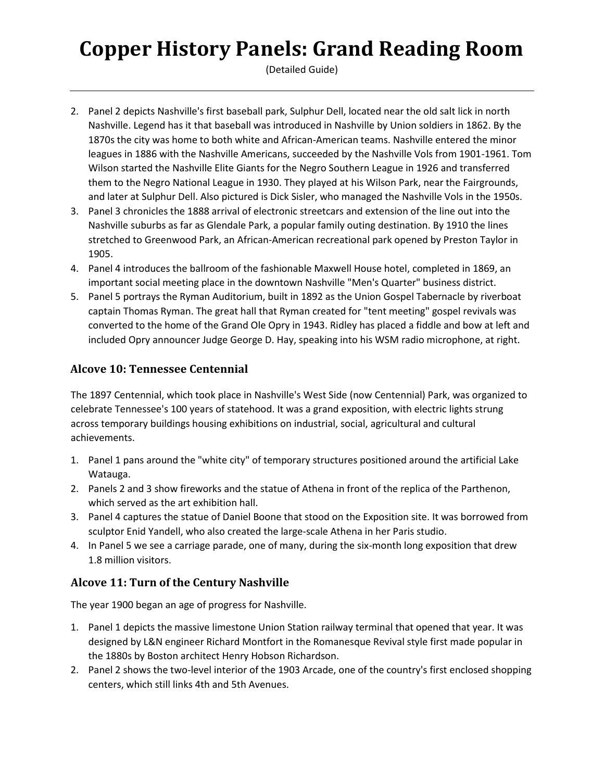(Detailed Guide)

- 2. Panel 2 depicts Nashville's first baseball park, Sulphur Dell, located near the old salt lick in north Nashville. Legend has it that baseball was introduced in Nashville by Union soldiers in 1862. By the 1870s the city was home to both white and African-American teams. Nashville entered the minor leagues in 1886 with the Nashville Americans, succeeded by the Nashville Vols from 1901-1961. Tom Wilson started the Nashville Elite Giants for the Negro Southern League in 1926 and transferred them to the Negro National League in 1930. They played at his Wilson Park, near the Fairgrounds, and later at Sulphur Dell. Also pictured is Dick Sisler, who managed the Nashville Vols in the 1950s.
- 3. Panel 3 chronicles the 1888 arrival of electronic streetcars and extension of the line out into the Nashville suburbs as far as Glendale Park, a popular family outing destination. By 1910 the lines stretched to Greenwood Park, an African-American recreational park opened by Preston Taylor in 1905.
- 4. Panel 4 introduces the ballroom of the fashionable Maxwell House hotel, completed in 1869, an important social meeting place in the downtown Nashville "Men's Quarter" business district.
- 5. Panel 5 portrays the Ryman Auditorium, built in 1892 as the Union Gospel Tabernacle by riverboat captain Thomas Ryman. The great hall that Ryman created for "tent meeting" gospel revivals was converted to the home of the Grand Ole Opry in 1943. Ridley has placed a fiddle and bow at left and included Opry announcer Judge George D. Hay, speaking into his WSM radio microphone, at right.

### **Alcove 10: Tennessee Centennial**

The 1897 Centennial, which took place in Nashville's West Side (now Centennial) Park, was organized to celebrate Tennessee's 100 years of statehood. It was a grand exposition, with electric lights strung across temporary buildings housing exhibitions on industrial, social, agricultural and cultural achievements.

- 1. Panel 1 pans around the "white city" of temporary structures positioned around the artificial Lake Watauga.
- 2. Panels 2 and 3 show fireworks and the statue of Athena in front of the replica of the Parthenon, which served as the art exhibition hall.
- 3. Panel 4 captures the statue of Daniel Boone that stood on the Exposition site. It was borrowed from sculptor Enid Yandell, who also created the large-scale Athena in her Paris studio.
- 4. In Panel 5 we see a carriage parade, one of many, during the six-month long exposition that drew 1.8 million visitors.

# **Alcove 11: Turn of the Century Nashville**

The year 1900 began an age of progress for Nashville.

- 1. Panel 1 depicts the massive limestone Union Station railway terminal that opened that year. It was designed by L&N engineer Richard Montfort in the Romanesque Revival style first made popular in the 1880s by Boston architect Henry Hobson Richardson.
- 2. Panel 2 shows the two-level interior of the 1903 Arcade, one of the country's first enclosed shopping centers, which still links 4th and 5th Avenues.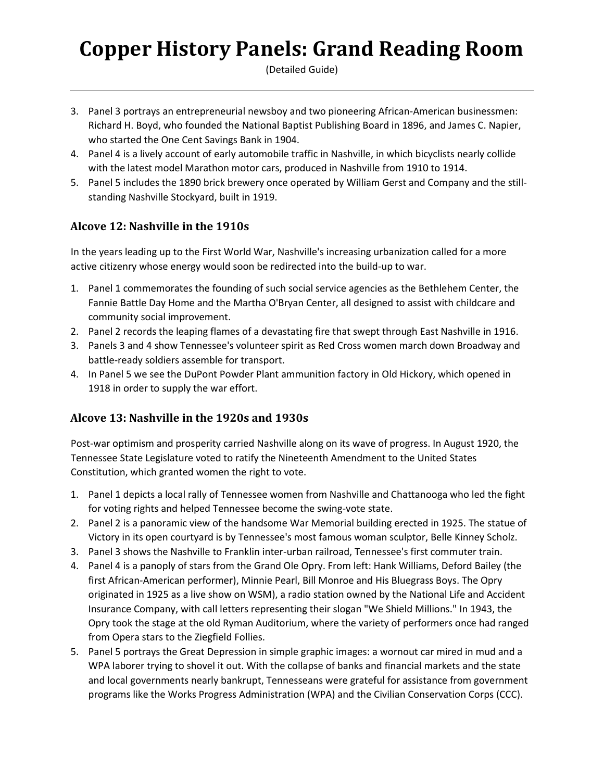(Detailed Guide)

- 3. Panel 3 portrays an entrepreneurial newsboy and two pioneering African-American businessmen: Richard H. Boyd, who founded the National Baptist Publishing Board in 1896, and James C. Napier, who started the One Cent Savings Bank in 1904.
- 4. Panel 4 is a lively account of early automobile traffic in Nashville, in which bicyclists nearly collide with the latest model Marathon motor cars, produced in Nashville from 1910 to 1914.
- 5. Panel 5 includes the 1890 brick brewery once operated by William Gerst and Company and the stillstanding Nashville Stockyard, built in 1919.

## **Alcove 12: Nashville in the 1910s**

In the years leading up to the First World War, Nashville's increasing urbanization called for a more active citizenry whose energy would soon be redirected into the build-up to war.

- 1. Panel 1 commemorates the founding of such social service agencies as the Bethlehem Center, the Fannie Battle Day Home and the Martha O'Bryan Center, all designed to assist with childcare and community social improvement.
- 2. Panel 2 records the leaping flames of a devastating fire that swept through East Nashville in 1916.
- 3. Panels 3 and 4 show Tennessee's volunteer spirit as Red Cross women march down Broadway and battle-ready soldiers assemble for transport.
- 4. In Panel 5 we see the DuPont Powder Plant ammunition factory in Old Hickory, which opened in 1918 in order to supply the war effort.

### **Alcove 13: Nashville in the 1920s and 1930s**

Post-war optimism and prosperity carried Nashville along on its wave of progress. In August 1920, the Tennessee State Legislature voted to ratify the Nineteenth Amendment to the United States Constitution, which granted women the right to vote.

- 1. Panel 1 depicts a local rally of Tennessee women from Nashville and Chattanooga who led the fight for voting rights and helped Tennessee become the swing-vote state.
- 2. Panel 2 is a panoramic view of the handsome War Memorial building erected in 1925. The statue of Victory in its open courtyard is by Tennessee's most famous woman sculptor, Belle Kinney Scholz.
- 3. Panel 3 shows the Nashville to Franklin inter-urban railroad, Tennessee's first commuter train.
- 4. Panel 4 is a panoply of stars from the Grand Ole Opry. From left: Hank Williams, Deford Bailey (the first African-American performer), Minnie Pearl, Bill Monroe and His Bluegrass Boys. The Opry originated in 1925 as a live show on WSM), a radio station owned by the National Life and Accident Insurance Company, with call letters representing their slogan "We Shield Millions." In 1943, the Opry took the stage at the old Ryman Auditorium, where the variety of performers once had ranged from Opera stars to the Ziegfield Follies.
- 5. Panel 5 portrays the Great Depression in simple graphic images: a wornout car mired in mud and a WPA laborer trying to shovel it out. With the collapse of banks and financial markets and the state and local governments nearly bankrupt, Tennesseans were grateful for assistance from government programs like the Works Progress Administration (WPA) and the Civilian Conservation Corps (CCC).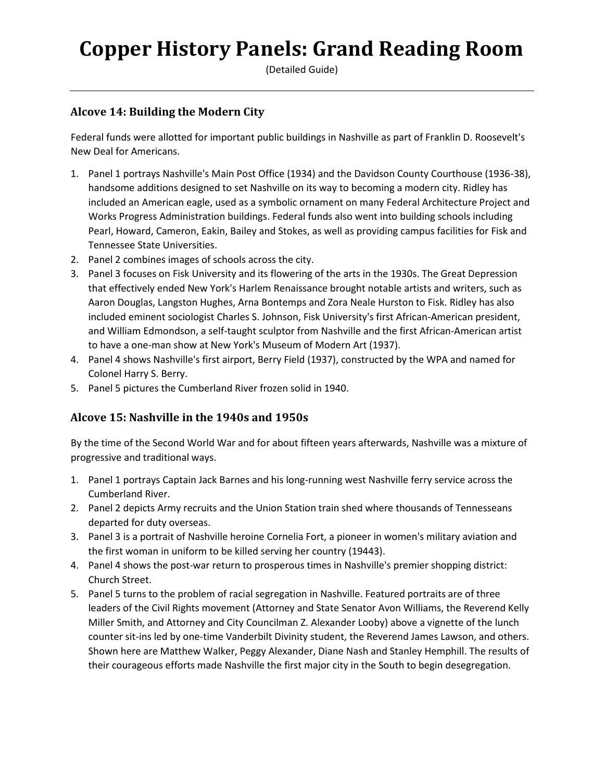(Detailed Guide)

#### **Alcove 14: Building the Modern City**

Federal funds were allotted for important public buildings in Nashville as part of Franklin D. Roosevelt's New Deal for Americans.

- 1. Panel 1 portrays Nashville's Main Post Office (1934) and the Davidson County Courthouse (1936-38), handsome additions designed to set Nashville on its way to becoming a modern city. Ridley has included an American eagle, used as a symbolic ornament on many Federal Architecture Project and Works Progress Administration buildings. Federal funds also went into building schools including Pearl, Howard, Cameron, Eakin, Bailey and Stokes, as well as providing campus facilities for Fisk and Tennessee State Universities.
- 2. Panel 2 combines images of schools across the city.
- 3. Panel 3 focuses on Fisk University and its flowering of the arts in the 1930s. The Great Depression that effectively ended New York's Harlem Renaissance brought notable artists and writers, such as Aaron Douglas, Langston Hughes, Arna Bontemps and Zora Neale Hurston to Fisk. Ridley has also included eminent sociologist Charles S. Johnson, Fisk University's first African-American president, and William Edmondson, a self-taught sculptor from Nashville and the first African-American artist to have a one-man show at New York's Museum of Modern Art (1937).
- 4. Panel 4 shows Nashville's first airport, Berry Field (1937), constructed by the WPA and named for Colonel Harry S. Berry.
- 5. Panel 5 pictures the Cumberland River frozen solid in 1940.

### **Alcove 15: Nashville in the 1940s and 1950s**

By the time of the Second World War and for about fifteen years afterwards, Nashville was a mixture of progressive and traditional ways.

- 1. Panel 1 portrays Captain Jack Barnes and his long-running west Nashville ferry service across the Cumberland River.
- 2. Panel 2 depicts Army recruits and the Union Station train shed where thousands of Tennesseans departed for duty overseas.
- 3. Panel 3 is a portrait of Nashville heroine Cornelia Fort, a pioneer in women's military aviation and the first woman in uniform to be killed serving her country (19443).
- 4. Panel 4 shows the post-war return to prosperous times in Nashville's premier shopping district: Church Street.
- 5. Panel 5 turns to the problem of racial segregation in Nashville. Featured portraits are of three leaders of the Civil Rights movement (Attorney and State Senator Avon Williams, the Reverend Kelly Miller Smith, and Attorney and City Councilman Z. Alexander Looby) above a vignette of the lunch counter sit-ins led by one-time Vanderbilt Divinity student, the Reverend James Lawson, and others. Shown here are Matthew Walker, Peggy Alexander, Diane Nash and Stanley Hemphill. The results of their courageous efforts made Nashville the first major city in the South to begin desegregation.